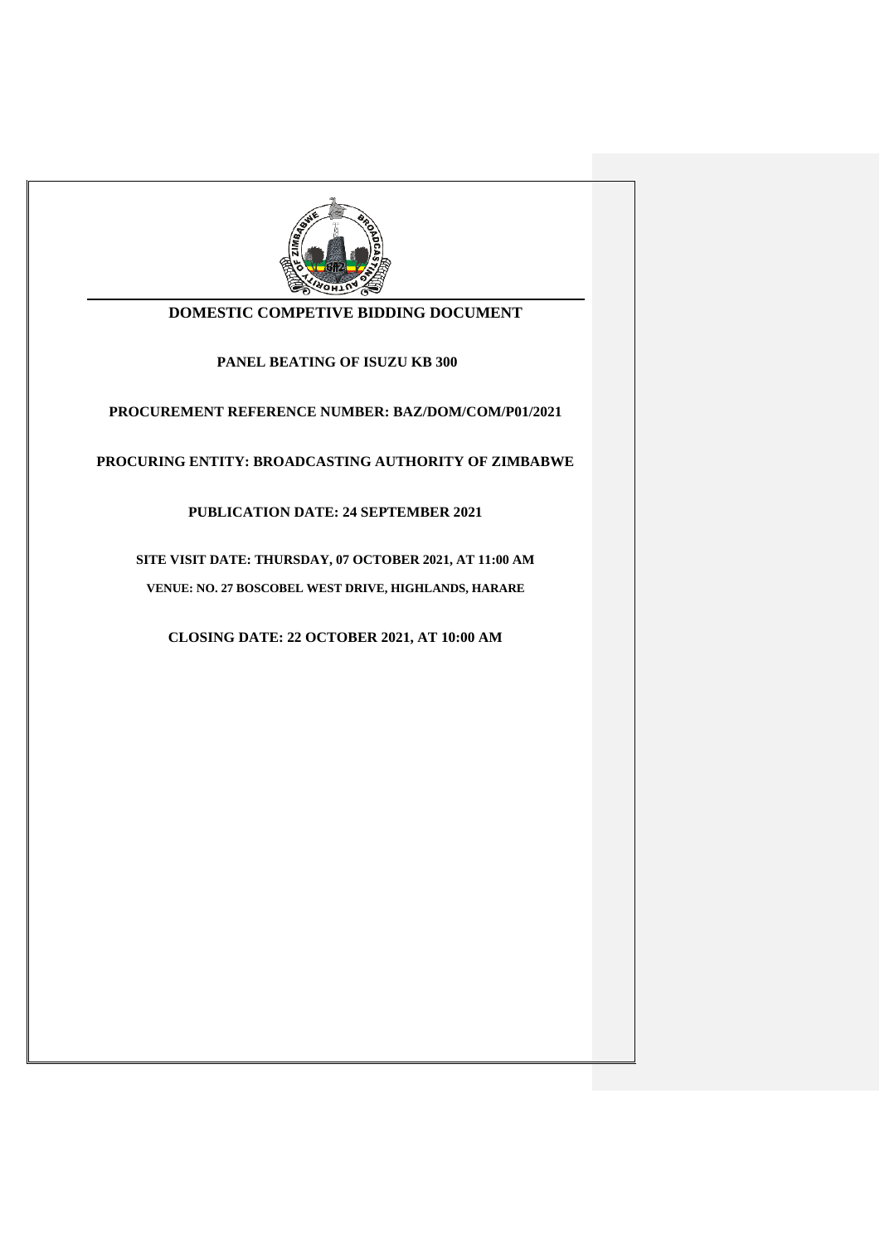

# **DOMESTIC COMPETIVE BIDDING DOCUMENT**

**PANEL BEATING OF ISUZU KB 300**

**PROCUREMENT REFERENCE NUMBER: BAZ/DOM/COM/P01/2021**

**PROCURING ENTITY: BROADCASTING AUTHORITY OF ZIMBABWE**

**PUBLICATION DATE: 24 SEPTEMBER 2021**

**SITE VISIT DATE: THURSDAY, 07 OCTOBER 2021, AT 11:00 AM VENUE: NO. 27 BOSCOBEL WEST DRIVE, HIGHLANDS, HARARE**

**CLOSING DATE: 22 OCTOBER 2021, AT 10:00 AM**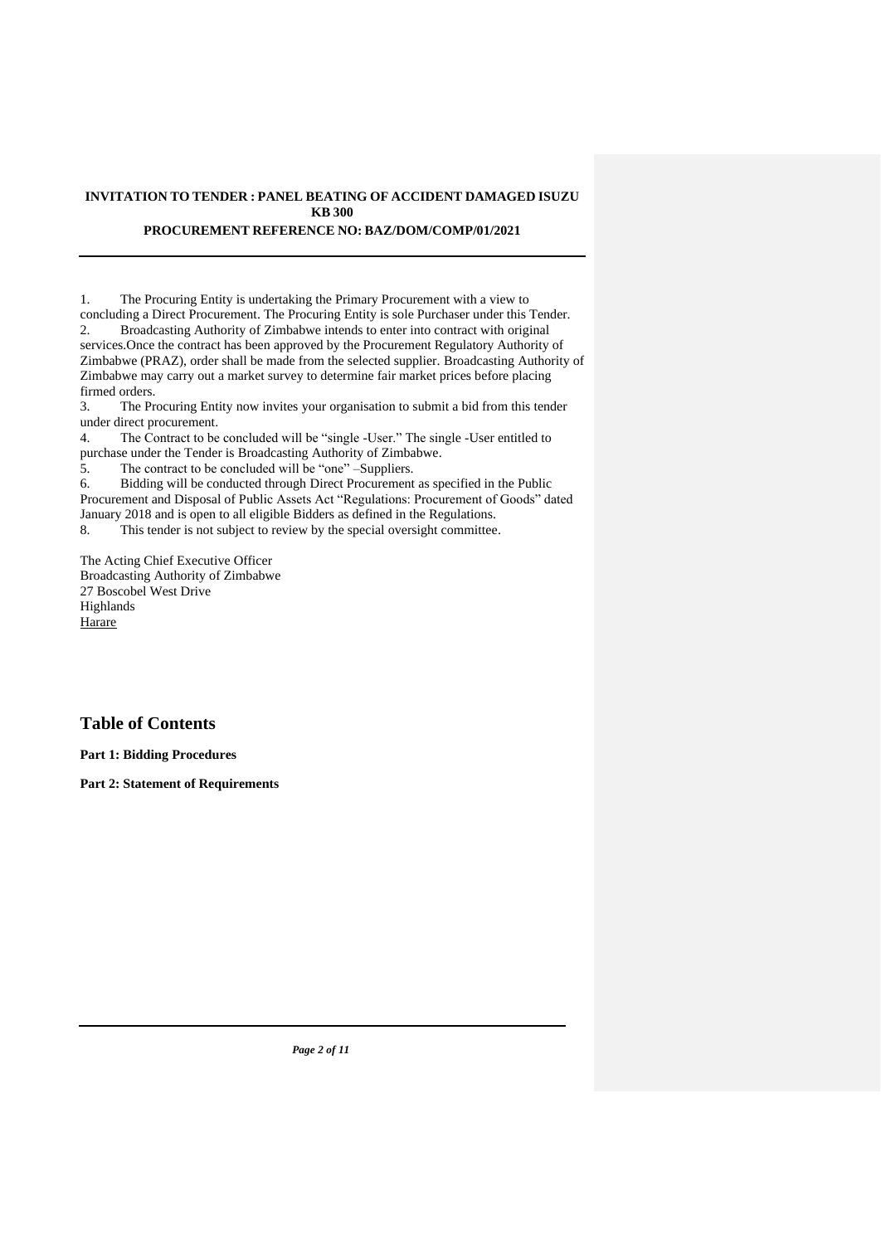#### **INVITATION TO TENDER : PANEL BEATING OF ACCIDENT DAMAGED ISUZU KB 300 PROCUREMENT REFERENCE NO: BAZ/DOM/COMP/01/2021**

1. The Procuring Entity is undertaking the Primary Procurement with a view to concluding a Direct Procurement. The Procuring Entity is sole Purchaser under this Tender. 2. Broadcasting Authority of Zimbabwe intends to enter into contract with original services.Once the contract has been approved by the Procurement Regulatory Authority of Zimbabwe (PRAZ), order shall be made from the selected supplier. Broadcasting Authority of Zimbabwe may carry out a market survey to determine fair market prices before placing firmed orders.

3. The Procuring Entity now invites your organisation to submit a bid from this tender under direct procurement.

4. The Contract to be concluded will be "single -User." The single -User entitled to purchase under the Tender is Broadcasting Authority of Zimbabwe.

5. The contract to be concluded will be "one" –Suppliers.

6. Bidding will be conducted through Direct Procurement as specified in the Public Procurement and Disposal of Public Assets Act "Regulations: Procurement of Goods" dated January 2018 and is open to all eligible Bidders as defined in the Regulations.

8. This tender is not subject to review by the special oversight committee.

The Acting Chief Executive Officer Broadcasting Authority of Zimbabwe 27 Boscobel West Drive Highlands **Harare** 

# **Table of Contents**

**Part 1: Bidding Procedures**

**Part 2: Statement of Requirements**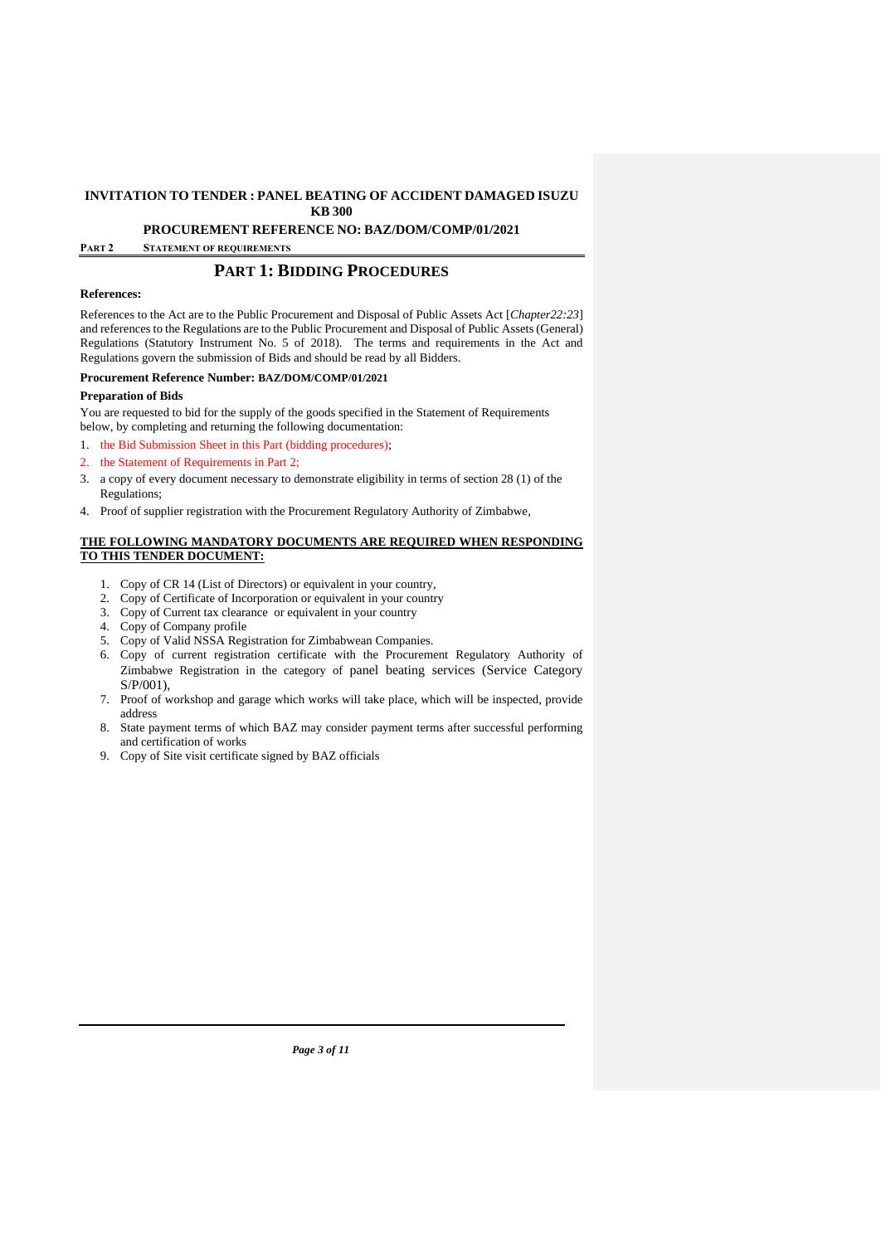**KB 300 PROCUREMENT REFERENCE NO: BAZ/DOM/COMP/01/2021**

**PART 2 STATEMENT OF REQUIREMENTS**

## **PART 1: BIDDING PROCEDURES**

#### **References:**

References to the Act are to the Public Procurement and Disposal of Public Assets Act [*Chapter22:23*] and references to the Regulations are to the Public Procurement and Disposal of Public Assets (General) Regulations (Statutory Instrument No. 5 of 2018). The terms and requirements in the Act and Regulations govern the submission of Bids and should be read by all Bidders.

#### **Procurement Reference Number: BAZ/DOM/COMP/01/2021**

#### **Preparation of Bids**

You are requested to bid for the supply of the goods specified in the Statement of Requirements below, by completing and returning the following documentation:

- 1. the Bid Submission Sheet in this Part (bidding procedures);
- 2. the Statement of Requirements in Part 2;
- 3. a copy of every document necessary to demonstrate eligibility in terms of section 28 (1) of the Regulations;
- 4. Proof of supplier registration with the Procurement Regulatory Authority of Zimbabwe,

#### **THE FOLLOWING MANDATORY DOCUMENTS ARE REQUIRED WHEN RESPONDING TO THIS TENDER DOCUMENT:**

- 1. Copy of CR 14 (List of Directors) or equivalent in your country,
- 2. Copy of Certificate of Incorporation or equivalent in your country
- 3. Copy of Current tax clearance or equivalent in your country
- 4. Copy of Company profile
- 5. Copy of Valid NSSA Registration for Zimbabwean Companies.
- 6. Copy of current registration certificate with the Procurement Regulatory Authority of Zimbabwe Registration in the category of panel beating services (Service Category S/P/001),
- 7. Proof of workshop and garage which works will take place, which will be inspected, provide address
- 8. State payment terms of which BAZ may consider payment terms after successful performing and certification of works
- 9. Copy of Site visit certificate signed by BAZ officials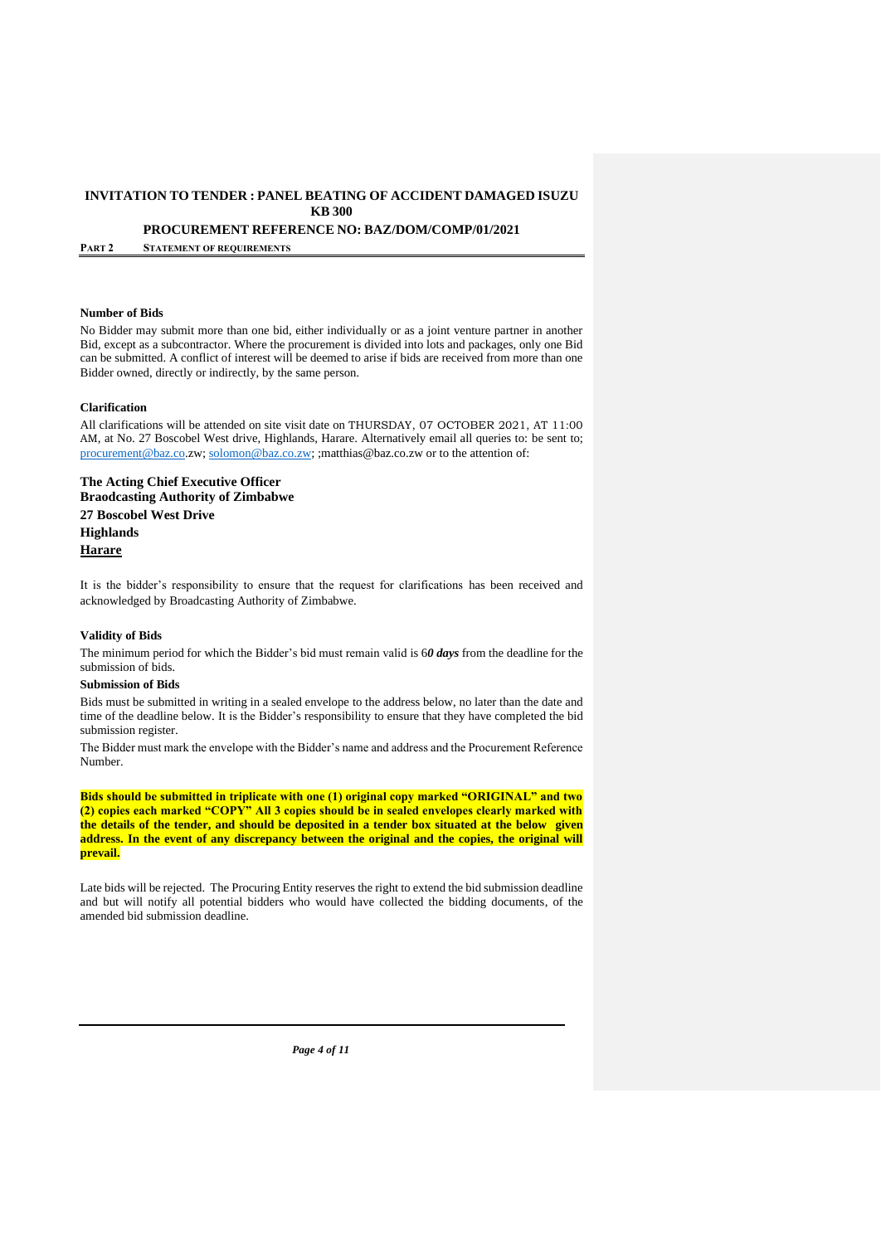**PROCUREMENT REFERENCE NO: BAZ/DOM/COMP/01/2021**

**PART 2 STATEMENT OF REQUIREMENTS**

#### **Number of Bids**

No Bidder may submit more than one bid, either individually or as a joint venture partner in another Bid, except as a subcontractor. Where the procurement is divided into lots and packages, only one Bid can be submitted. A conflict of interest will be deemed to arise if bids are received from more than one Bidder owned, directly or indirectly, by the same person.

#### **Clarification**

All clarifications will be attended on site visit date on THURSDAY, 07 OCTOBER 2021, AT 11:00 AM, at No. 27 Boscobel West drive, Highlands, Harare. Alternatively email all queries to: be sent to; [procurement@baz.co.](mailto:procurement@baz.co)zw; [solomon@baz.co.zw;](mailto:solomon@baz.co.zw) ;matthias@baz.co.zw or to the attention of:

**The Acting Chief Executive Officer Braodcasting Authority of Zimbabwe 27 Boscobel West Drive Highlands Harare**

It is the bidder's responsibility to ensure that the request for clarifications has been received and acknowledged by Broadcasting Authority of Zimbabwe.

#### **Validity of Bids**

The minimum period for which the Bidder's bid must remain valid is 6*0 days* from the deadline for the submission of bids.

#### **Submission of Bids**

Bids must be submitted in writing in a sealed envelope to the address below, no later than the date and time of the deadline below. It is the Bidder's responsibility to ensure that they have completed the bid submission register.

The Bidder must mark the envelope with the Bidder's name and address and the Procurement Reference Number.

**Bids should be submitted in triplicate with one (1) original copy marked "ORIGINAL" and two (2) copies each marked "COPY" All 3 copies should be in sealed envelopes clearly marked with the details of the tender, and should be deposited in a tender box situated at the below given** address. In the event of any discrepancy between the original and the copies, the original will **prevail.**

Late bids will be rejected. The Procuring Entity reserves the right to extend the bid submission deadline and but will notify all potential bidders who would have collected the bidding documents, of the amended bid submission deadline.

*Page 4 of 11*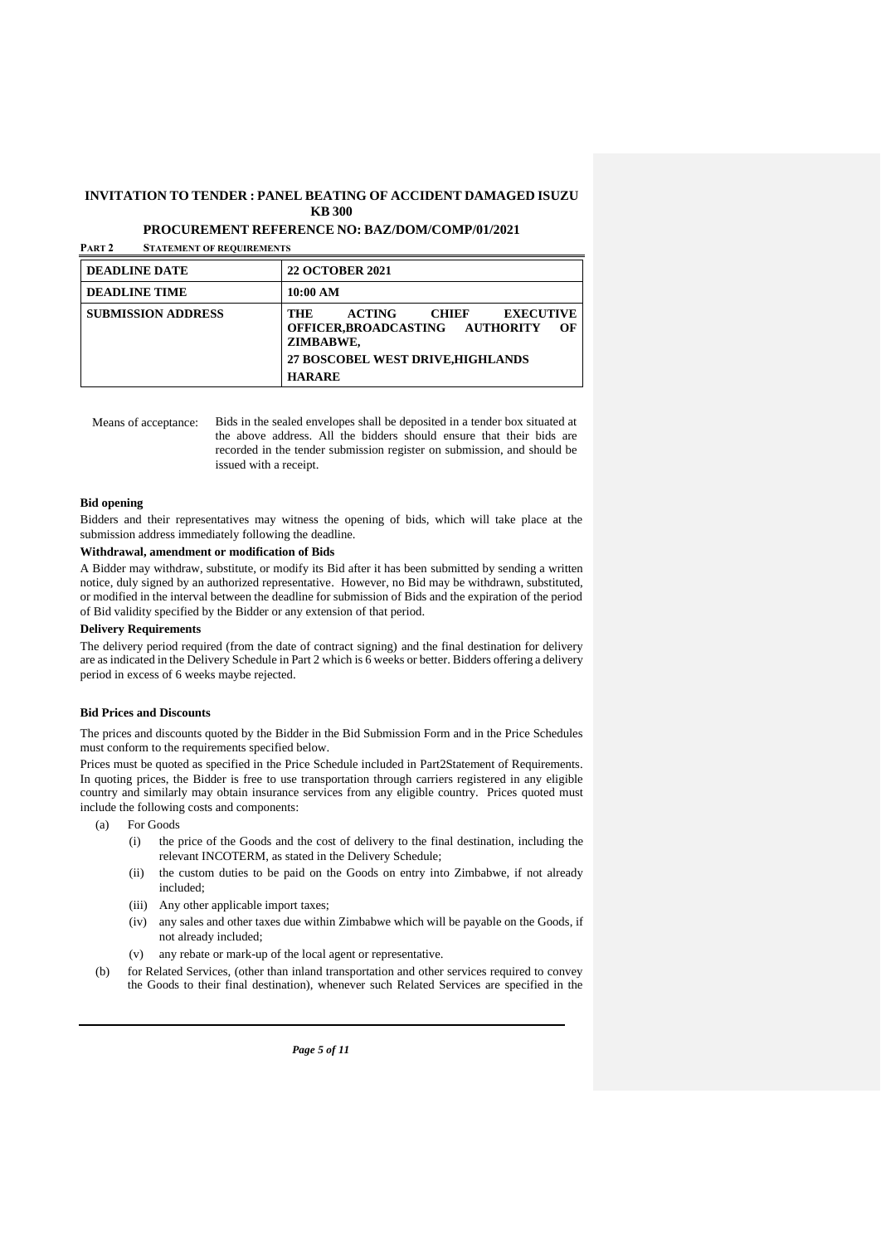**PROCUREMENT REFERENCE NO: BAZ/DOM/COMP/01/2021**

**PART 2 STATEMENT OF REQUIREMENTS**

| <b>DEADLINE DATE</b>      | <b>22 OCTOBER 2021</b>                                                                                                                                       |  |  |
|---------------------------|--------------------------------------------------------------------------------------------------------------------------------------------------------------|--|--|
| <b>DEADLINE TIME</b>      | 10:00 AM                                                                                                                                                     |  |  |
| <b>SUBMISSION ADDRESS</b> | CHIEF<br><b>EXECUTIVE</b><br><b>ACTING</b><br>THE<br>OFFICER.BROADCASTING AUTHORITY<br>OЕ<br>ZIMBABWE.<br>27 BOSCOBEL WEST DRIVE, HIGHLANDS<br><b>HARARE</b> |  |  |

Means of acceptance: Bids in the sealed envelopes shall be deposited in a tender box situated at the above address. All the bidders should ensure that their bids are recorded in the tender submission register on submission, and should be issued with a receipt.

#### **Bid opening**

Bidders and their representatives may witness the opening of bids, which will take place at the submission address immediately following the deadline.

#### **Withdrawal, amendment or modification of Bids**

A Bidder may withdraw, substitute, or modify its Bid after it has been submitted by sending a written notice, duly signed by an authorized representative. However, no Bid may be withdrawn, substituted, or modified in the interval between the deadline for submission of Bids and the expiration of the period of Bid validity specified by the Bidder or any extension of that period.

#### **Delivery Requirements**

The delivery period required (from the date of contract signing) and the final destination for delivery are as indicated in the Delivery Schedule in Part 2 which is 6 weeks or better. Bidders offering a delivery period in excess of 6 weeks maybe rejected.

#### **Bid Prices and Discounts**

The prices and discounts quoted by the Bidder in the Bid Submission Form and in the Price Schedules must conform to the requirements specified below.

Prices must be quoted as specified in the Price Schedule included in Part2Statement of Requirements. In quoting prices, the Bidder is free to use transportation through carriers registered in any eligible country and similarly may obtain insurance services from any eligible country. Prices quoted must include the following costs and components:

- (a) For Goods
	- (i) the price of the Goods and the cost of delivery to the final destination, including the relevant INCOTERM, as stated in the Delivery Schedule;
	- (ii) the custom duties to be paid on the Goods on entry into Zimbabwe, if not already included;
	- (iii) Any other applicable import taxes;
	- (iv) any sales and other taxes due within Zimbabwe which will be payable on the Goods, if not already included;
	- (v) any rebate or mark-up of the local agent or representative.
- (b) for Related Services, (other than inland transportation and other services required to convey the Goods to their final destination), whenever such Related Services are specified in the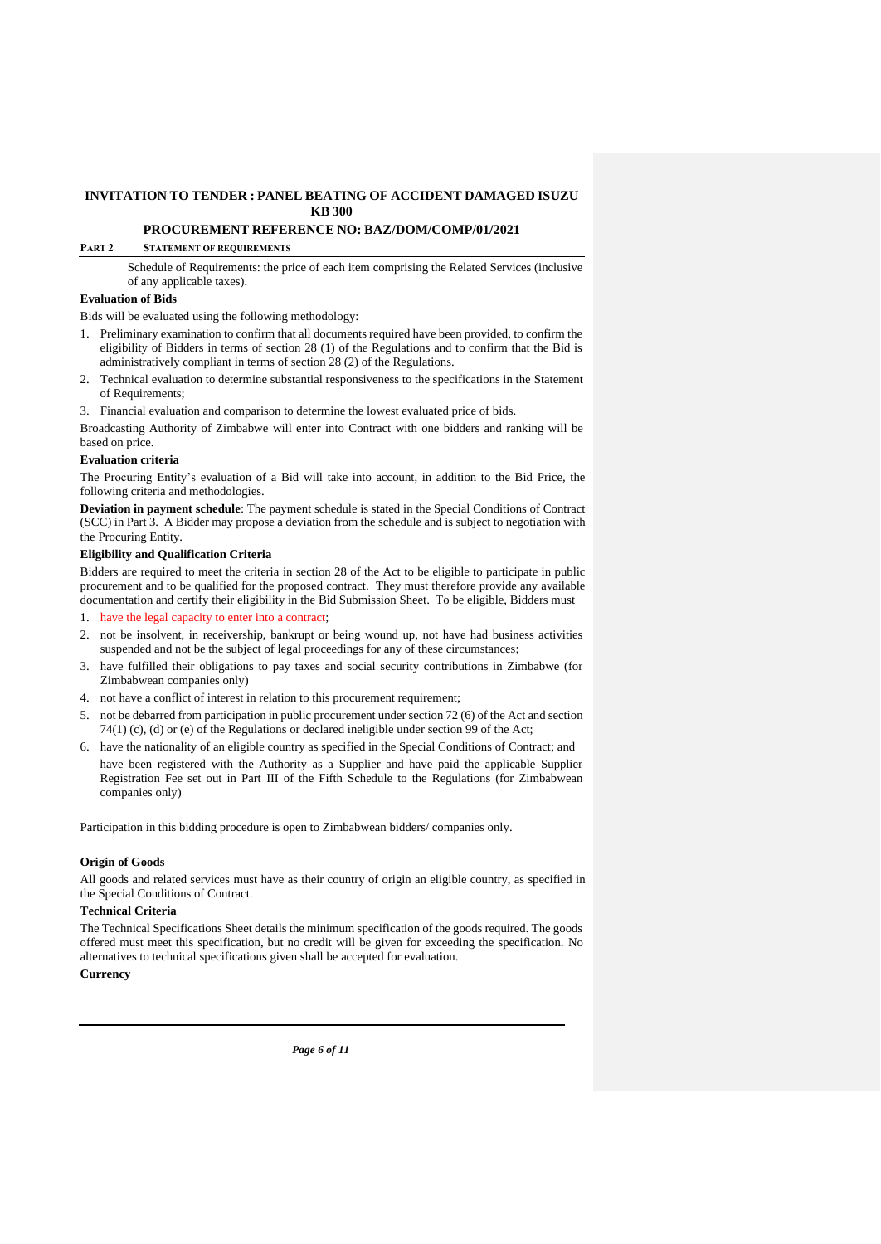#### **PROCUREMENT REFERENCE NO: BAZ/DOM/COMP/01/2021**

#### **PART 2 STATEMENT OF REQUIREMENTS**

Schedule of Requirements: the price of each item comprising the Related Services (inclusive of any applicable taxes).

#### **Evaluation of Bids**

Bids will be evaluated using the following methodology:

- 1. Preliminary examination to confirm that all documents required have been provided, to confirm the eligibility of Bidders in terms of section 28 (1) of the Regulations and to confirm that the Bid is administratively compliant in terms of section 28 (2) of the Regulations.
- 2. Technical evaluation to determine substantial responsiveness to the specifications in the Statement of Requirements;

3. Financial evaluation and comparison to determine the lowest evaluated price of bids.

Broadcasting Authority of Zimbabwe will enter into Contract with one bidders and ranking will be based on price.

#### **Evaluation criteria**

The Procuring Entity's evaluation of a Bid will take into account, in addition to the Bid Price, the following criteria and methodologies.

**Deviation in payment schedule**: The payment schedule is stated in the Special Conditions of Contract (SCC) in Part 3. A Bidder may propose a deviation from the schedule and is subject to negotiation with the Procuring Entity.

#### **Eligibility and Qualification Criteria**

Bidders are required to meet the criteria in section 28 of the Act to be eligible to participate in public procurement and to be qualified for the proposed contract. They must therefore provide any available documentation and certify their eligibility in the Bid Submission Sheet. To be eligible, Bidders must

1. have the legal capacity to enter into a contract;

- 2. not be insolvent, in receivership, bankrupt or being wound up, not have had business activities suspended and not be the subject of legal proceedings for any of these circumstances;
- 3. have fulfilled their obligations to pay taxes and social security contributions in Zimbabwe (for Zimbabwean companies only)
- 4. not have a conflict of interest in relation to this procurement requirement;
- 5. not be debarred from participation in public procurement under section 72 (6) of the Act and section 74(1) (c), (d) or (e) of the Regulations or declared ineligible under section 99 of the Act;
- 6. have the nationality of an eligible country as specified in the Special Conditions of Contract; and have been registered with the Authority as a Supplier and have paid the applicable Supplier Registration Fee set out in Part III of the Fifth Schedule to the Regulations (for Zimbabwean companies only)

Participation in this bidding procedure is open to Zimbabwean bidders/ companies only.

#### **Origin of Goods**

All goods and related services must have as their country of origin an eligible country, as specified in the Special Conditions of Contract.

#### **Technical Criteria**

The Technical Specifications Sheet details the minimum specification of the goods required. The goods offered must meet this specification, but no credit will be given for exceeding the specification. No alternatives to technical specifications given shall be accepted for evaluation.

#### **Currency**

*Page 6 of 11*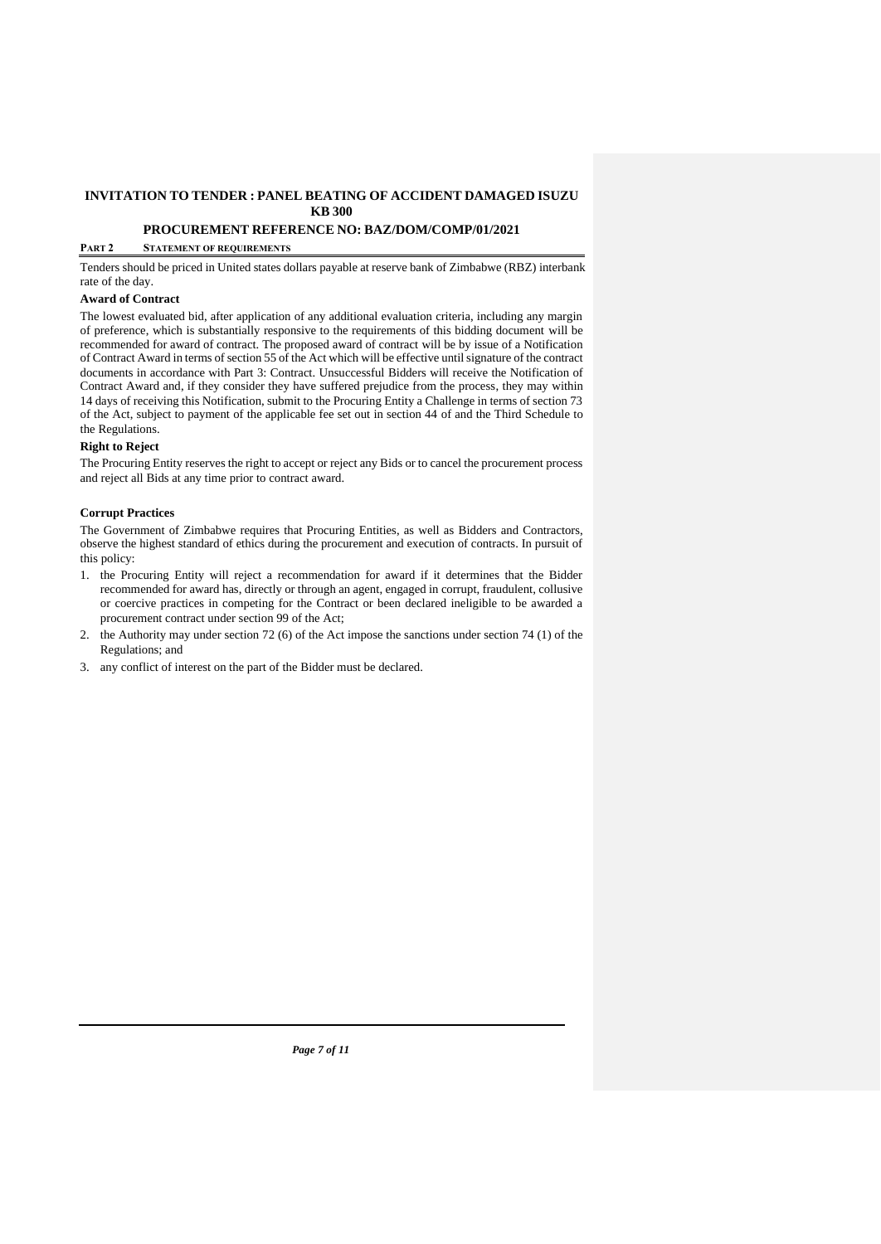## **PROCUREMENT REFERENCE NO: BAZ/DOM/COMP/01/2021**

#### **PART 2 STATEMENT OF REQUIREMENTS**

Tenders should be priced in United states dollars payable at reserve bank of Zimbabwe (RBZ) interbank rate of the day.

#### **Award of Contract**

The lowest evaluated bid, after application of any additional evaluation criteria, including any margin of preference, which is substantially responsive to the requirements of this bidding document will be recommended for award of contract. The proposed award of contract will be by issue of a Notification of Contract Award in terms of section 55 of the Act which will be effective until signature of the contract documents in accordance with Part 3: Contract. Unsuccessful Bidders will receive the Notification of Contract Award and, if they consider they have suffered prejudice from the process, they may within 14 days of receiving this Notification, submit to the Procuring Entity a Challenge in terms of section 73 of the Act, subject to payment of the applicable fee set out in section 44 of and the Third Schedule to the Regulations.

### **Right to Reject**

The Procuring Entity reserves the right to accept or reject any Bids or to cancel the procurement process and reject all Bids at any time prior to contract award.

### **Corrupt Practices**

The Government of Zimbabwe requires that Procuring Entities, as well as Bidders and Contractors, observe the highest standard of ethics during the procurement and execution of contracts. In pursuit of this policy:

- 1. the Procuring Entity will reject a recommendation for award if it determines that the Bidder recommended for award has, directly or through an agent, engaged in corrupt, fraudulent, collusive or coercive practices in competing for the Contract or been declared ineligible to be awarded a procurement contract under section 99 of the Act;
- 2. the Authority may under section 72 (6) of the Act impose the sanctions under section 74 (1) of the Regulations; and
- 3. any conflict of interest on the part of the Bidder must be declared.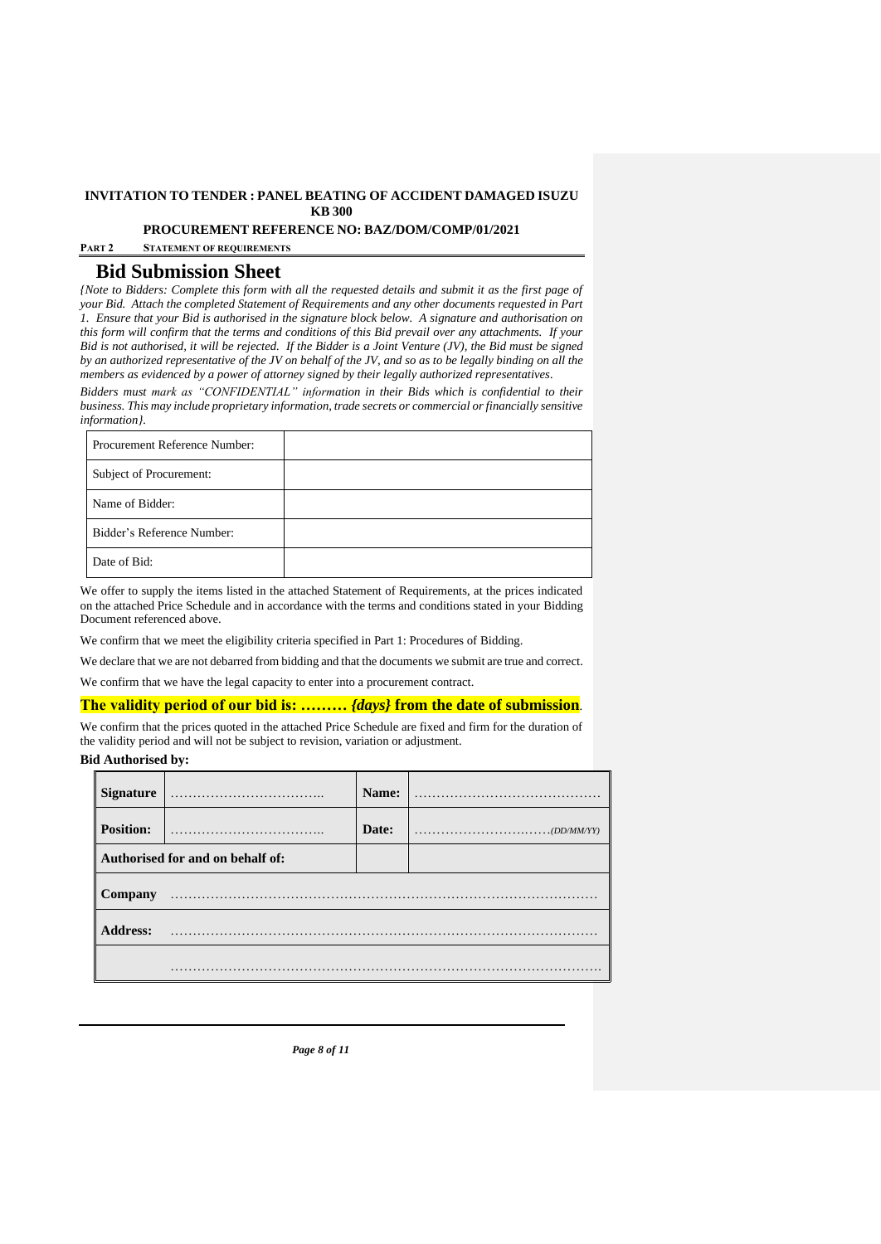**PROCUREMENT REFERENCE NO: BAZ/DOM/COMP/01/2021**

**PART 2 STATEMENT OF REQUIREMENTS**

# **Bid Submission Sheet**

*{Note to Bidders: Complete this form with all the requested details and submit it as the first page of your Bid. Attach the completed Statement of Requirements and any other documents requested in Part 1. Ensure that your Bid is authorised in the signature block below. A signature and authorisation on this form will confirm that the terms and conditions of this Bid prevail over any attachments. If your Bid is not authorised, it will be rejected. If the Bidder is a Joint Venture (JV), the Bid must be signed by an authorized representative of the JV on behalf of the JV, and so as to be legally binding on all the members as evidenced by a power of attorney signed by their legally authorized representatives.* 

*Bidders must mark as "CONFIDENTIAL" information in their Bids which is confidential to their business. This may include proprietary information, trade secrets or commercial or financially sensitive information}.* 

| Procurement Reference Number: |  |
|-------------------------------|--|
| Subject of Procurement:       |  |
| Name of Bidder:               |  |
| Bidder's Reference Number:    |  |
| Date of Bid:                  |  |

We offer to supply the items listed in the attached Statement of Requirements, at the prices indicated on the attached Price Schedule and in accordance with the terms and conditions stated in your Bidding Document referenced above.

We confirm that we meet the eligibility criteria specified in Part 1: Procedures of Bidding.

We declare that we are not debarred from bidding and that the documents we submit are true and correct.

We confirm that we have the legal capacity to enter into a procurement contract.

#### **The validity period of our bid is: ………** *{days}* **from the date of submission**.

We confirm that the prices quoted in the attached Price Schedule are fixed and firm for the duration of the validity period and will not be subject to revision, variation or adjustment.

## **Bid Authorised by:**

| <b>Signature</b> |                                  | Name: |                                                                                                  |
|------------------|----------------------------------|-------|--------------------------------------------------------------------------------------------------|
| <b>Position:</b> |                                  | Date: | $\ldots \ldots \ldots \ldots \ldots \ldots \ldots \ldots \ldots \ldots \ldots \ldots (DD/MM/YY)$ |
|                  | Authorised for and on behalf of: |       |                                                                                                  |
| Company          |                                  |       |                                                                                                  |
| <b>Address:</b>  |                                  |       |                                                                                                  |
|                  |                                  |       |                                                                                                  |

*Page 8 of 11*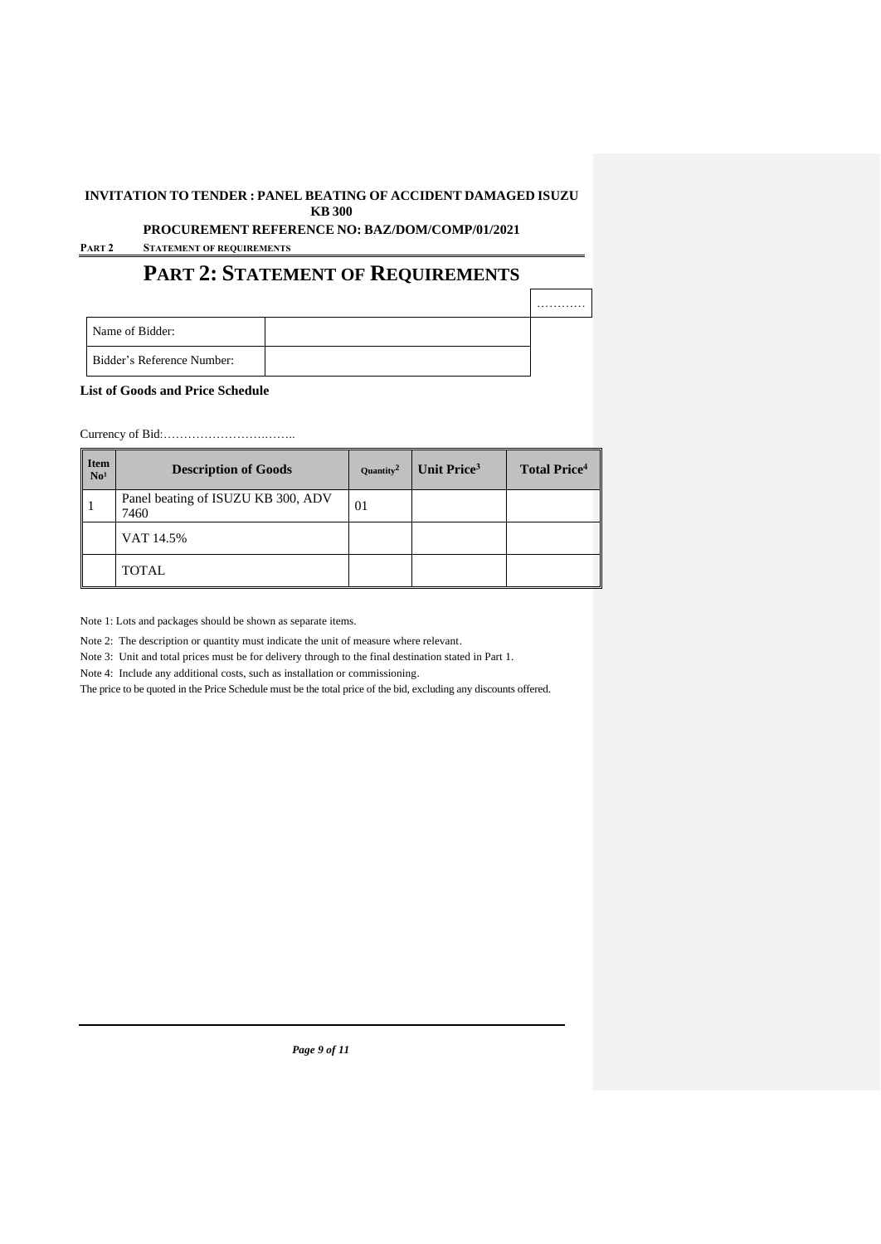# **PROCUREMENT REFERENCE NO: BAZ/DOM/COMP/01/2021**

**PART 2 STATEMENT OF REQUIREMENTS**

# **PART 2: STATEMENT OF REQUIREMENTS**

|                                   | . |
|-----------------------------------|---|
| Name of Bidder:                   |   |
| <b>Bidder's Reference Number:</b> |   |

**List of Goods and Price Schedule**

Currency of Bid:…………………….……..

| I Item<br>No <sup>1</sup> | <b>Description of Goods</b>                | Quantity <sup>2</sup> | Unit Price <sup>3</sup> | <b>Total Price</b> <sup>4</sup> |
|---------------------------|--------------------------------------------|-----------------------|-------------------------|---------------------------------|
| Ι.                        | Panel beating of ISUZU KB 300, ADV<br>7460 | 01                    |                         |                                 |
|                           | VAT 14.5%                                  |                       |                         |                                 |
|                           | <b>TOTAL</b>                               |                       |                         |                                 |

Note 1: Lots and packages should be shown as separate items.

Note 2: The description or quantity must indicate the unit of measure where relevant.

Note 3: Unit and total prices must be for delivery through to the final destination stated in Part 1.

Note 4: Include any additional costs, such as installation or commissioning.

The price to be quoted in the Price Schedule must be the total price of the bid, excluding any discounts offered.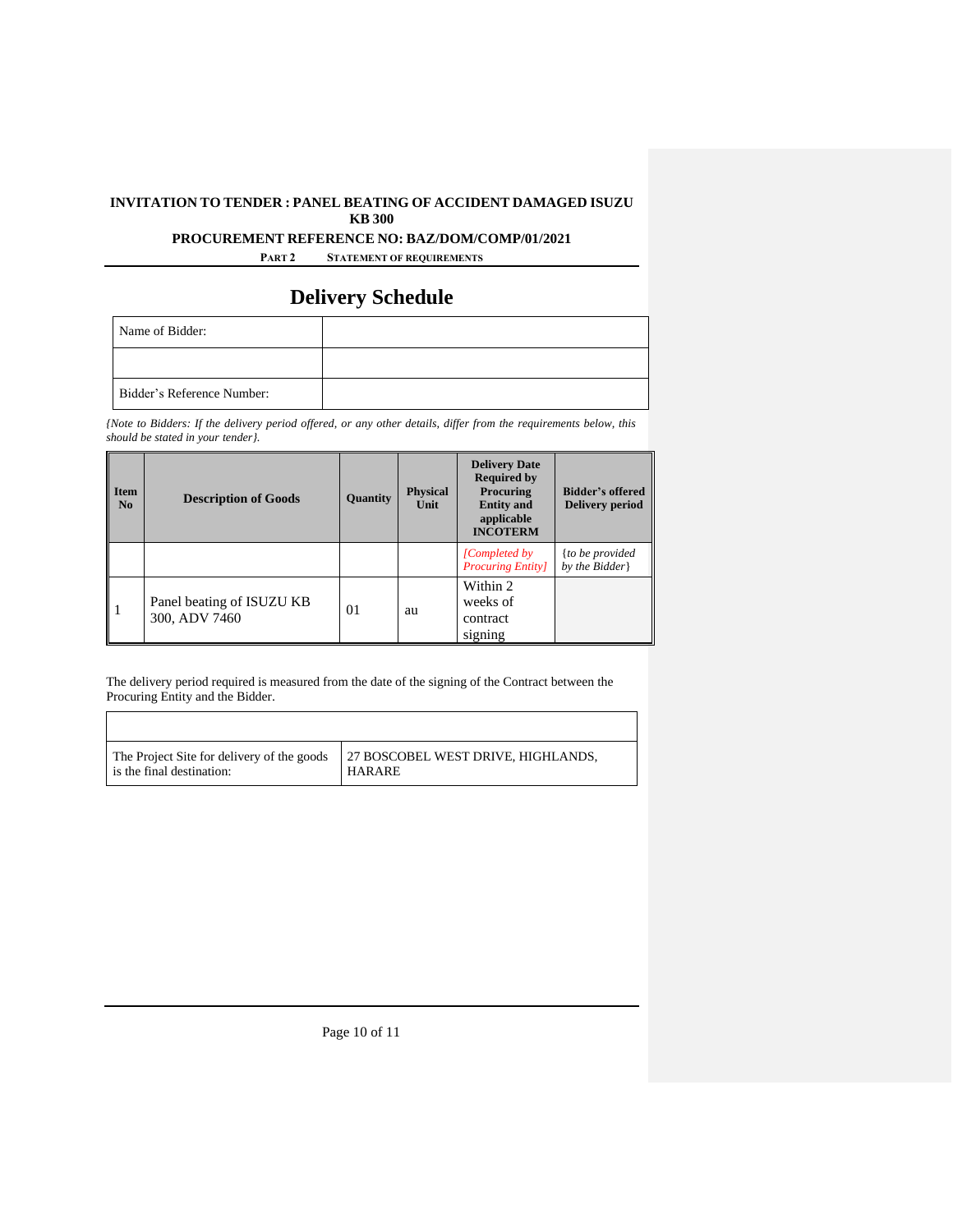## **PROCUREMENT REFERENCE NO: BAZ/DOM/COMP/01/2021**

**PART 2 STATEMENT OF REQUIREMENTS**

# **Delivery Schedule**

| Name of Bidder:            |  |
|----------------------------|--|
|                            |  |
| Bidder's Reference Number: |  |

*{Note to Bidders: If the delivery period offered, or any other details, differ from the requirements below, this should be stated in your tender}.* 

| <b>Item</b><br>N <sub>0</sub> | <b>Description of Goods</b>                | Quantity | <b>Physical</b><br>Unit | <b>Delivery Date</b><br><b>Required by</b><br>Procuring<br><b>Entity and</b><br>applicable<br><b>INCOTERM</b> | <b>Bidder's offered</b><br>Delivery period |
|-------------------------------|--------------------------------------------|----------|-------------------------|---------------------------------------------------------------------------------------------------------------|--------------------------------------------|
|                               |                                            |          |                         | [Completed by]<br><b>Procuring Entity</b>                                                                     | {to be provided<br>by the Bidder           |
|                               | Panel beating of ISUZU KB<br>300, ADV 7460 | 01       | au                      | Within 2<br>weeks of<br>contract<br>signing                                                                   |                                            |

The delivery period required is measured from the date of the signing of the Contract between the Procuring Entity and the Bidder.

| The Project Site for delivery of the goods | 27 BOSCOBEL WEST DRIVE, HIGHLANDS, |
|--------------------------------------------|------------------------------------|
| is the final destination:                  | <b>HARARE</b>                      |

Page 10 of 11